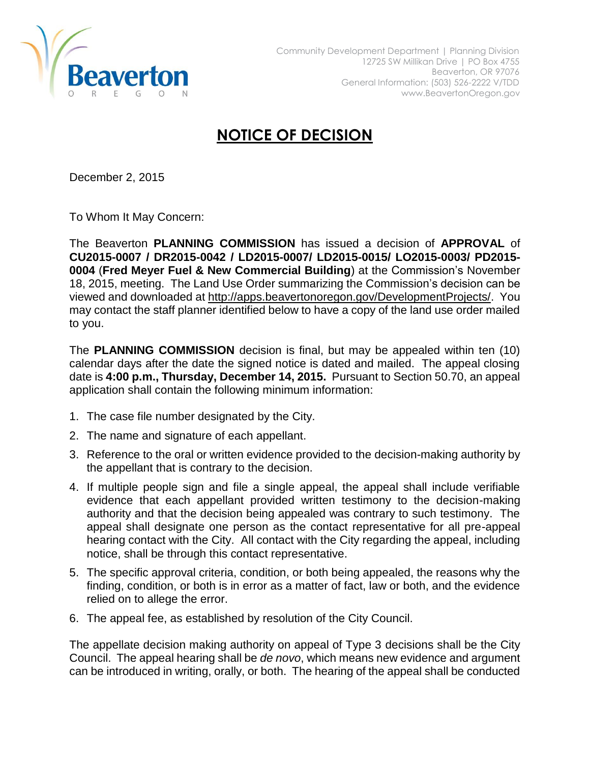

## **NOTICE OF DECISION**

December 2, 2015

To Whom It May Concern:

The Beaverton **PLANNING COMMISSION** has issued a decision of **APPROVAL** of **CU2015-0007 / DR2015-0042 / LD2015-0007/ LD2015-0015/ LO2015-0003/ PD2015- 0004** (**Fred Meyer Fuel & New Commercial Building**) at the Commission's November 18, 2015, meeting. The Land Use Order summarizing the Commission's decision can be viewed and downloaded at [http://apps.beavertonoregon.gov/DevelopmentProjects/.](http://apps.beavertonoregon.gov/DevelopmentProjects/) You may contact the staff planner identified below to have a copy of the land use order mailed to you.

The **PLANNING COMMISSION** decision is final, but may be appealed within ten (10) calendar days after the date the signed notice is dated and mailed. The appeal closing date is **4:00 p.m., Thursday, December 14, 2015.** Pursuant to Section 50.70, an appeal application shall contain the following minimum information:

- 1. The case file number designated by the City.
- 2. The name and signature of each appellant.
- 3. Reference to the oral or written evidence provided to the decision-making authority by the appellant that is contrary to the decision.
- 4. If multiple people sign and file a single appeal, the appeal shall include verifiable evidence that each appellant provided written testimony to the decision-making authority and that the decision being appealed was contrary to such testimony. The appeal shall designate one person as the contact representative for all pre-appeal hearing contact with the City. All contact with the City regarding the appeal, including notice, shall be through this contact representative.
- 5. The specific approval criteria, condition, or both being appealed, the reasons why the finding, condition, or both is in error as a matter of fact, law or both, and the evidence relied on to allege the error.
- 6. The appeal fee, as established by resolution of the City Council.

The appellate decision making authority on appeal of Type 3 decisions shall be the City Council. The appeal hearing shall be *de novo*, which means new evidence and argument can be introduced in writing, orally, or both. The hearing of the appeal shall be conducted